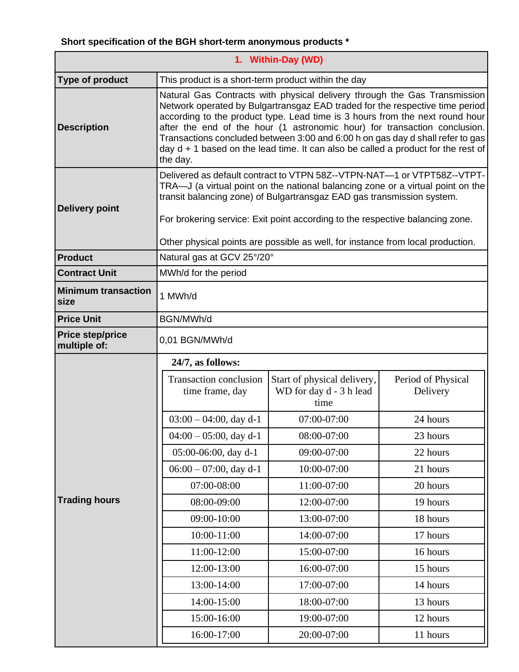## **Short specification of the BGH short-term anonymous products \***

| 1. Within-Day (WD)                      |                                                                                                                                                                                                                                                                                                                                                                                                                                                                                                             |                                                                |                                |  |
|-----------------------------------------|-------------------------------------------------------------------------------------------------------------------------------------------------------------------------------------------------------------------------------------------------------------------------------------------------------------------------------------------------------------------------------------------------------------------------------------------------------------------------------------------------------------|----------------------------------------------------------------|--------------------------------|--|
| Type of product                         | This product is a short-term product within the day                                                                                                                                                                                                                                                                                                                                                                                                                                                         |                                                                |                                |  |
| <b>Description</b>                      | Natural Gas Contracts with physical delivery through the Gas Transmission<br>Network operated by Bulgartransgaz EAD traded for the respective time period<br>according to the product type. Lead time is 3 hours from the next round hour<br>after the end of the hour (1 astronomic hour) for transaction conclusion.<br>Transactions concluded between 3:00 and 6:00 h on gas day d shall refer to gas<br>day $d + 1$ based on the lead time. It can also be called a product for the rest of<br>the day. |                                                                |                                |  |
| <b>Delivery point</b>                   | Delivered as default contract to VTPN 58Z--VTPN-NAT-1 or VTPT58Z--VTPT-<br>TRA-J (a virtual point on the national balancing zone or a virtual point on the<br>transit balancing zone) of Bulgartransgaz EAD gas transmission system.<br>For brokering service: Exit point according to the respective balancing zone.                                                                                                                                                                                       |                                                                |                                |  |
| <b>Product</b>                          | Other physical points are possible as well, for instance from local production.<br>Natural gas at GCV 25°/20°                                                                                                                                                                                                                                                                                                                                                                                               |                                                                |                                |  |
| <b>Contract Unit</b>                    | MWh/d for the period                                                                                                                                                                                                                                                                                                                                                                                                                                                                                        |                                                                |                                |  |
| <b>Minimum transaction</b><br>size      | 1 MWh/d                                                                                                                                                                                                                                                                                                                                                                                                                                                                                                     |                                                                |                                |  |
| <b>Price Unit</b>                       | BGN/MWh/d                                                                                                                                                                                                                                                                                                                                                                                                                                                                                                   |                                                                |                                |  |
| <b>Price step/price</b><br>multiple of: | 0,01 BGN/MWh/d                                                                                                                                                                                                                                                                                                                                                                                                                                                                                              |                                                                |                                |  |
|                                         | 24/7, as follows:                                                                                                                                                                                                                                                                                                                                                                                                                                                                                           |                                                                |                                |  |
|                                         | <b>Transaction conclusion</b><br>time frame, day                                                                                                                                                                                                                                                                                                                                                                                                                                                            | Start of physical delivery,<br>WD for day d - 3 h lead<br>time | Period of Physical<br>Delivery |  |
|                                         | $03:00 - 04:00$ , day d-1                                                                                                                                                                                                                                                                                                                                                                                                                                                                                   | 07:00-07:00                                                    | 24 hours                       |  |
|                                         | $04:00 - 05:00$ , day d-1                                                                                                                                                                                                                                                                                                                                                                                                                                                                                   | 08:00-07:00                                                    | 23 hours                       |  |
|                                         | 05:00-06:00, day d-1                                                                                                                                                                                                                                                                                                                                                                                                                                                                                        | 09:00-07:00                                                    | 22 hours                       |  |
|                                         | $06:00 - 07:00$ , day d-1                                                                                                                                                                                                                                                                                                                                                                                                                                                                                   | 10:00-07:00                                                    | 21 hours                       |  |
| <b>Trading hours</b>                    | 07:00-08:00                                                                                                                                                                                                                                                                                                                                                                                                                                                                                                 | 11:00-07:00                                                    | 20 hours                       |  |
|                                         | 08:00-09:00                                                                                                                                                                                                                                                                                                                                                                                                                                                                                                 | 12:00-07:00                                                    | 19 hours                       |  |
|                                         | 09:00-10:00                                                                                                                                                                                                                                                                                                                                                                                                                                                                                                 | 13:00-07:00                                                    | 18 hours                       |  |
|                                         | 10:00-11:00                                                                                                                                                                                                                                                                                                                                                                                                                                                                                                 | 14:00-07:00                                                    | 17 hours                       |  |
|                                         | 11:00-12:00                                                                                                                                                                                                                                                                                                                                                                                                                                                                                                 | 15:00-07:00                                                    | 16 hours                       |  |
|                                         | 12:00-13:00                                                                                                                                                                                                                                                                                                                                                                                                                                                                                                 | 16:00-07:00                                                    | 15 hours                       |  |
|                                         | 13:00-14:00                                                                                                                                                                                                                                                                                                                                                                                                                                                                                                 | 17:00-07:00                                                    | 14 hours                       |  |
|                                         | 14:00-15:00                                                                                                                                                                                                                                                                                                                                                                                                                                                                                                 | 18:00-07:00                                                    | 13 hours                       |  |
|                                         | 15:00-16:00                                                                                                                                                                                                                                                                                                                                                                                                                                                                                                 | 19:00-07:00                                                    | 12 hours                       |  |
|                                         | 16:00-17:00                                                                                                                                                                                                                                                                                                                                                                                                                                                                                                 | 20:00-07:00                                                    | 11 hours                       |  |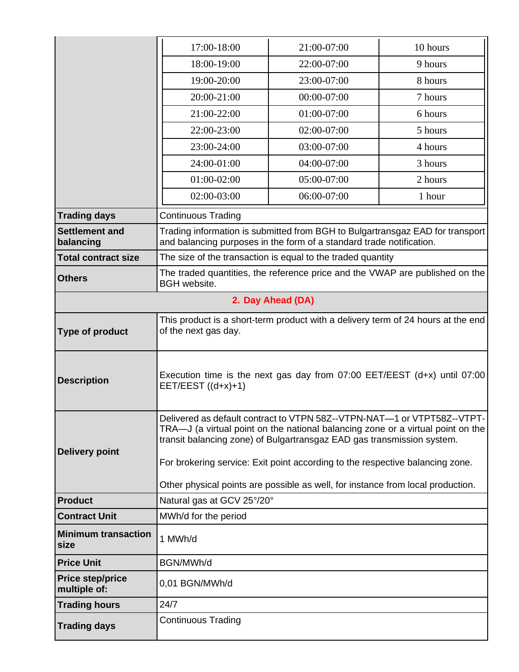|                                         | 17:00-18:00                                                                                                                                                                                                                                                                                                                                                                                              | 21:00-07:00 | 10 hours |  |
|-----------------------------------------|----------------------------------------------------------------------------------------------------------------------------------------------------------------------------------------------------------------------------------------------------------------------------------------------------------------------------------------------------------------------------------------------------------|-------------|----------|--|
|                                         | 18:00-19:00                                                                                                                                                                                                                                                                                                                                                                                              | 22:00-07:00 | 9 hours  |  |
|                                         | 19:00-20:00                                                                                                                                                                                                                                                                                                                                                                                              | 23:00-07:00 | 8 hours  |  |
|                                         | 20:00-21:00                                                                                                                                                                                                                                                                                                                                                                                              | 00:00-07:00 | 7 hours  |  |
|                                         | 21:00-22:00                                                                                                                                                                                                                                                                                                                                                                                              | 01:00-07:00 | 6 hours  |  |
|                                         | 22:00-23:00                                                                                                                                                                                                                                                                                                                                                                                              | 02:00-07:00 | 5 hours  |  |
|                                         | 23:00-24:00                                                                                                                                                                                                                                                                                                                                                                                              | 03:00-07:00 | 4 hours  |  |
|                                         | 24:00-01:00                                                                                                                                                                                                                                                                                                                                                                                              | 04:00-07:00 | 3 hours  |  |
|                                         | $01:00-02:00$                                                                                                                                                                                                                                                                                                                                                                                            | 05:00-07:00 | 2 hours  |  |
|                                         | 02:00-03:00                                                                                                                                                                                                                                                                                                                                                                                              | 06:00-07:00 | 1 hour   |  |
| <b>Trading days</b>                     | <b>Continuous Trading</b>                                                                                                                                                                                                                                                                                                                                                                                |             |          |  |
| <b>Settlement and</b><br>balancing      | Trading information is submitted from BGH to Bulgartransgaz EAD for transport<br>and balancing purposes in the form of a standard trade notification.                                                                                                                                                                                                                                                    |             |          |  |
| <b>Total contract size</b>              | The size of the transaction is equal to the traded quantity                                                                                                                                                                                                                                                                                                                                              |             |          |  |
| <b>Others</b>                           | The traded quantities, the reference price and the VWAP are published on the<br><b>BGH</b> website.                                                                                                                                                                                                                                                                                                      |             |          |  |
| 2. Day Ahead (DA)                       |                                                                                                                                                                                                                                                                                                                                                                                                          |             |          |  |
| Type of product                         | This product is a short-term product with a delivery term of 24 hours at the end<br>of the next gas day.                                                                                                                                                                                                                                                                                                 |             |          |  |
| <b>Description</b>                      | Execution time is the next gas day from 07:00 EET/EEST (d+x) until 07:00<br>EET/EEST $((d+x)+1)$                                                                                                                                                                                                                                                                                                         |             |          |  |
| <b>Delivery point</b>                   | Delivered as default contract to VTPN 58Z--VTPN-NAT-1 or VTPT58Z--VTPT-<br>TRA—J (a virtual point on the national balancing zone or a virtual point on the<br>transit balancing zone) of Bulgartransgaz EAD gas transmission system.<br>For brokering service: Exit point according to the respective balancing zone.<br>Other physical points are possible as well, for instance from local production. |             |          |  |
| <b>Product</b>                          | Natural gas at GCV 25°/20°                                                                                                                                                                                                                                                                                                                                                                               |             |          |  |
| <b>Contract Unit</b>                    | MWh/d for the period                                                                                                                                                                                                                                                                                                                                                                                     |             |          |  |
| <b>Minimum transaction</b><br>size      | 1 MWh/d                                                                                                                                                                                                                                                                                                                                                                                                  |             |          |  |
| <b>Price Unit</b>                       | BGN/MWh/d                                                                                                                                                                                                                                                                                                                                                                                                |             |          |  |
| <b>Price step/price</b><br>multiple of: | 0,01 BGN/MWh/d                                                                                                                                                                                                                                                                                                                                                                                           |             |          |  |
| <b>Trading hours</b>                    | 24/7                                                                                                                                                                                                                                                                                                                                                                                                     |             |          |  |
| <b>Trading days</b>                     | <b>Continuous Trading</b>                                                                                                                                                                                                                                                                                                                                                                                |             |          |  |